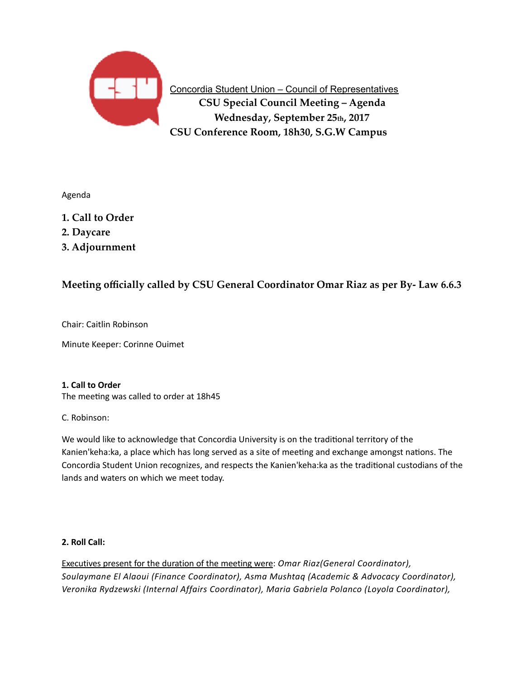

**Concordia Student Union – Council of Representatives CSU Special Council Meeting – Agenda Wednesday, September 25th, 2017 CSU Conference Room, 18h30, S.G.W Campus**

Agenda 

**1. Call to Order** 

- **2. Daycare**
- **3. Adjournment**

# **Meeting officially called by CSU General Coordinator Omar Riaz as per By- Law 6.6.3**

Chair: Caitlin Robinson

Minute Keeper: Corinne Ouimet

## **1. Call to Order**

The meeting was called to order at 18h45

## C. Robinson:

We would like to acknowledge that Concordia University is on the traditional territory of the Kanien'keha:ka, a place which has long served as a site of meeting and exchange amongst nations. The Concordia Student Union recognizes, and respects the Kanien'keha:ka as the traditional custodians of the lands and waters on which we meet today.

# 2. Roll Call:

Executives present for the duration of the meeting were: *Omar Riaz(General Coordinator)*, Soulaymane El Alaoui (Finance Coordinator), Asma Mushtaq (Academic & Advocacy Coordinator), Veronika Rydzewski (Internal Affairs Coordinator), Maria Gabriela Polanco (Loyola Coordinator),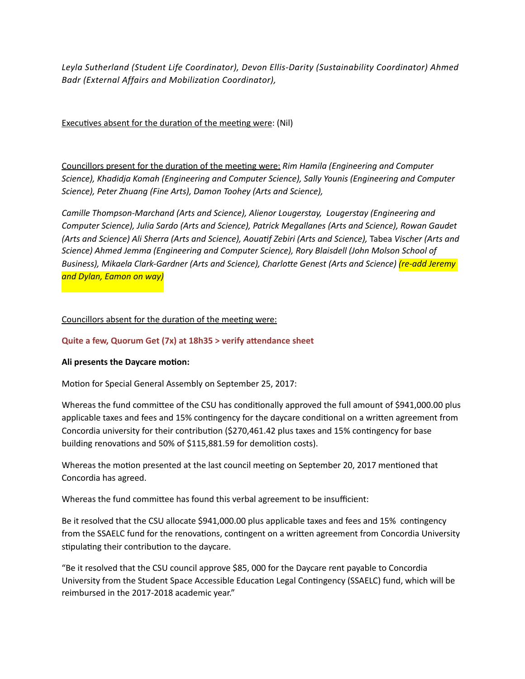Leyla Sutherland (Student Life Coordinator), Devon Ellis-Darity (Sustainability Coordinator) Ahmed *Badr (External Affairs and Mobilization Coordinator),*

Executives absent for the duration of the meeting were: (Nil)

Councillors present for the duration of the meeting were: Rim Hamila (Engineering and Computer Science), Khadidja Komah (Engineering and Computer Science), Sally Younis (Engineering and Computer *Science), Peter Zhuang (Fine Arts), Damon Toohey (Arts and Science),* 

Camille Thompson-Marchand (Arts and Science), Alienor Lougerstay, Lougerstay (Engineering and *Computer Science), Julia Sardo (Arts and Science), Patrick Megallanes (Arts and Science), Rowan Gaudet (Arts and Science) Ali Sherra (Arts and Science), Aouatif Zebiri (Arts and Science),* Tabea Vischer (Arts and Science) Ahmed Jemma (Engineering and Computer Science), Rory Blaisdell (John Molson School of Business), Mikaela Clark-Gardner (Arts and Science), Charlotte Genest (Arts and Science) <mark>(re-add Jeremy</mark> *and Dylan, Eamon on way)*

# Councillors absent for the duration of the meeting were:

## **Quite a few, Quorum Get (7x) at 18h35 > verify attendance sheet**

## Ali presents the Daycare motion:

Motion for Special General Assembly on September 25, 2017:

Whereas the fund committee of the CSU has conditionally approved the full amount of \$941,000.00 plus applicable taxes and fees and 15% contingency for the daycare conditional on a written agreement from Concordia university for their contribution (\$270,461.42 plus taxes and 15% contingency for base building renovations and 50% of \$115,881.59 for demolition costs).

Whereas the motion presented at the last council meeting on September 20, 2017 mentioned that Concordia has agreed.

Whereas the fund committee has found this verbal agreement to be insufficient:

Be it resolved that the CSU allocate \$941,000.00 plus applicable taxes and fees and 15% contingency from the SSAELC fund for the renovations, contingent on a written agreement from Concordia University stipulating their contribution to the daycare.

"Be it resolved that the CSU council approve \$85, 000 for the Daycare rent payable to Concordia University from the Student Space Accessible Education Legal Contingency (SSAELC) fund, which will be reimbursed in the 2017-2018 academic year."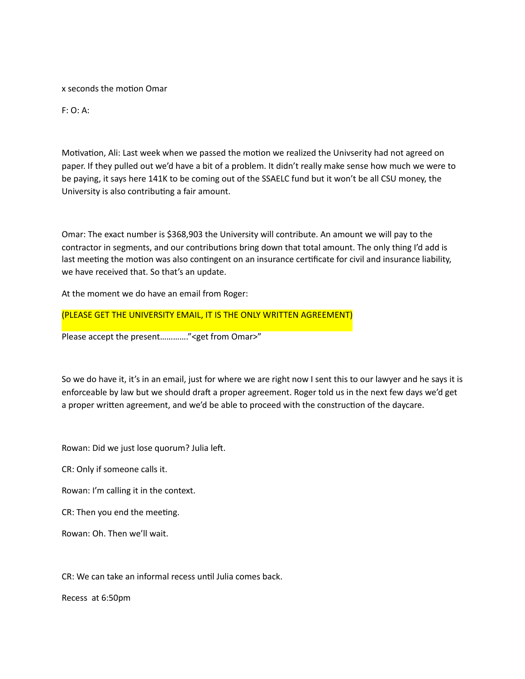x seconds the motion Omar

F: O: A: 

Motivation, Ali: Last week when we passed the motion we realized the Univserity had not agreed on paper. If they pulled out we'd have a bit of a problem. It didn't really make sense how much we were to be paying, it says here 141K to be coming out of the SSAELC fund but it won't be all CSU money, the University is also contributing a fair amount.

Omar: The exact number is \$368,903 the University will contribute. An amount we will pay to the contractor in segments, and our contributions bring down that total amount. The only thing I'd add is last meeting the motion was also contingent on an insurance certificate for civil and insurance liability, we have received that. So that's an update.

At the moment we do have an email from Roger:

(PLEASE GET THE UNIVERSITY EMAIL, IT IS THE ONLY WRITTEN AGREEMENT)

Please accept the present............." <get from Omar>"

So we do have it, it's in an email, just for where we are right now I sent this to our lawyer and he says it is enforceable by law but we should draft a proper agreement. Roger told us in the next few days we'd get a proper written agreement, and we'd be able to proceed with the construction of the daycare.

Rowan: Did we just lose quorum? Julia left.

CR: Only if someone calls it.

Rowan: I'm calling it in the context.

CR: Then you end the meeting.

Rowan: Oh. Then we'll wait.

CR: We can take an informal recess until Julia comes back.

Recess at 6:50pm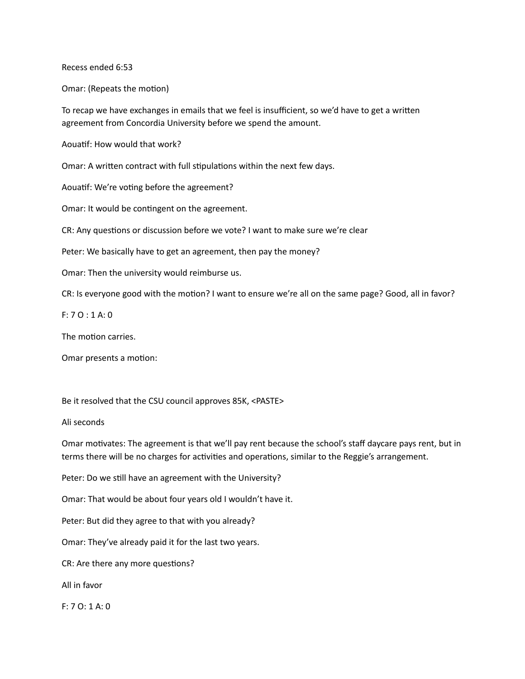Recess ended 6:53

Omar: (Repeats the motion)

To recap we have exchanges in emails that we feel is insufficient, so we'd have to get a written agreement from Concordia University before we spend the amount.

Aouatif: How would that work?

Omar: A written contract with full stipulations within the next few days.

Aouatif: We're voting before the agreement?

Omar: It would be contingent on the agreement.

CR: Any questions or discussion before we vote? I want to make sure we're clear

Peter: We basically have to get an agreement, then pay the money?

Omar: Then the university would reimburse us.

CR: Is everyone good with the motion? I want to ensure we're all on the same page? Good, all in favor?

 $F: 7 O: 1 A: 0$ 

The motion carries.

Omar presents a motion:

Be it resolved that the CSU council approves 85K, <PASTE>

Ali seconds 

Omar motivates: The agreement is that we'll pay rent because the school's staff daycare pays rent, but in terms there will be no charges for activities and operations, similar to the Reggie's arrangement.

Peter: Do we still have an agreement with the University?

Omar: That would be about four years old I wouldn't have it.

Peter: But did they agree to that with you already?

Omar: They've already paid it for the last two years.

CR: Are there any more questions?

All in favor

 $F: 7 O: 1 A: 0$